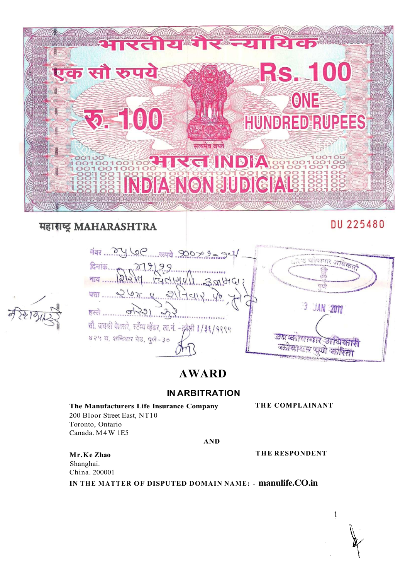

## महाराष्ट्र MAHARASHTRA

# DU 225480

Farming Sport Sullar 30 ত জায়ম  $12.019$  $916161$ युक्त पता ..... 3 JAN 2011 हस्ते सौ. जयश्री बेलसरे, स्टैंम्प व्हेंडर, ला.नं. - इबेली 1/3६/१९९९ ४२५ व, शनिवार पेड, पुणे-३० पूर्ण का  $2570$ 

# **AWARD**

### **IN ARBITRATION**

### **The Manufacturers Life Insurance Company**

200 Bloor Street East, NT10 Toronto, Ontario Canada. M4W 1E5

**T HE COMPLAINANT** 

**AND** 

**Mr.Ke Zhao THE RESPONDENT** 

Shanghai. China. 200001

**IN THE MATTER OF DISPUTED DOMAIN NAME: - manulife.CO.in** 

 $\mathbf{1}$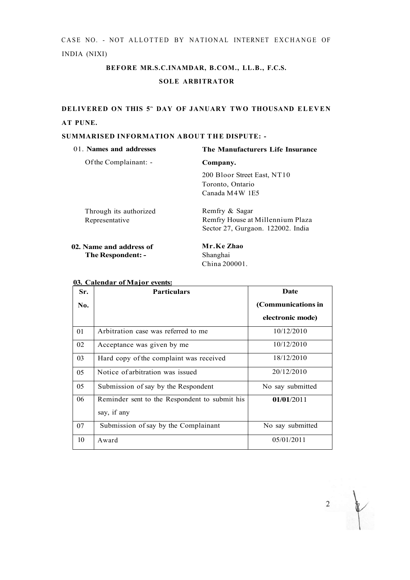CASE NO. - NOT ALLOTTED BY NATIONAL INTERNET EXCHANGE OF INDIA (NIXI)

## **BEFORE MR.S.C.INAMDAR, B.COM., LL.B., F.C.S. SOLE ARBITRATOR**

### **DELIVERED ON THIS 5<sup>t</sup> <sup>h</sup> DAY OF JANUARY TWO THOUSAND ELEVEN AT PUNE.**

#### **SUMMARISED INFORMATION ABOUT THE DISPUTE: -**

| 01. Names and addresses                  | The Manufacturers Life Insurance                                                        |  |
|------------------------------------------|-----------------------------------------------------------------------------------------|--|
| Of the Complainant: -                    | Company.                                                                                |  |
|                                          | 200 Bloor Street East, NT10<br>Toronto, Ontario<br>Canada M4W 1E5                       |  |
| Through its authorized<br>Representative | Remfry & Sagar<br>Remfry House at Millennium Plaza<br>Sector 27, Gurgaon. 122002. India |  |
| 02. Name and address of                  | Mr.Ke Zhao                                                                              |  |

**The Respondent: -**

Shanghai China 200001.

#### **03. Calendar of Major events:**

| Sr. | <b>Particulars</b>                                           | <b>Date</b>        |  |
|-----|--------------------------------------------------------------|--------------------|--|
| No. |                                                              | (Communications in |  |
|     |                                                              | electronic mode)   |  |
| 01  | Arbitration case was referred to me                          | 10/12/2010         |  |
| 02  | Acceptance was given by me                                   | 10/12/2010         |  |
| 03  | Hard copy of the complaint was received                      | 18/12/2010         |  |
| 05  | Notice of arbitration was issued                             | 20/12/2010         |  |
| 0.5 | Submission of say by the Respondent                          | No say submitted   |  |
| 06  | Reminder sent to the Respondent to submit his<br>say, if any | 01/01/2011         |  |
|     |                                                              |                    |  |
| 07  | Submission of say by the Complainant                         | No say submitted   |  |
| 10  | Award                                                        | 05/01/2011         |  |

 $\overline{2}$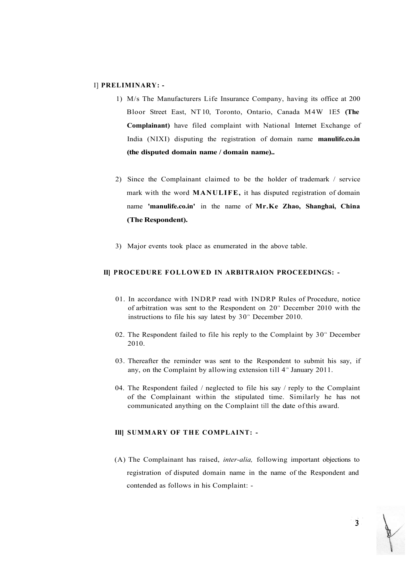#### I] **PRELIMINARY: -**

- 1) M/s The Manufacturers Life Insurance Company, having its office at 200 Bloor Street East, NT 10, Toronto, Ontario, Canada M4W 1E5 **(The Complainant)** have filed complaint with National Internet Exchange of India (NIXI) disputing the registration of domain name **manulife.co.in (the disputed domain name / domain name)..**
- 2) Since the Complainant claimed to be the holder of trademark / service mark with the word **MANULIFE,** it has disputed registration of domain name **'manulife.co.in'** in the name of **Mr.Ke Zhao, Shanghai, China (The Respondent).**
- 3) Major events took place as enumerated in the above table.

#### **II] PROCEDURE FOLLOWED IN ARBITRAION PROCEEDINGS: -**

- 01. In accordance with INDRP read with INDRP Rules of Procedure, notice of arbitration was sent to the Respondent on  $20<sup>th</sup>$  December 2010 with the instructions to file his say latest by  $30<sup>th</sup>$  December 2010.
- 02. The Respondent failed to file his reply to the Complaint by  $30<sup>th</sup>$  December 2010.
- 03. Thereafter the reminder was sent to the Respondent to submit his say, if any, on the Complaint by allowing extension till  $4^{\text{th}}$  January 2011.
- 04. The Respondent failed / neglected to file his say / reply to the Complaint of the Complainant within the stipulated time. Similarly he has not communicated anything on the Complaint till the date of this award.

#### **Ill] SUMMARY OF THE COMPLAINT: -**

(A) The Complainant has raised, *inter-alia,* following important objections to registration of disputed domain name in the name of the Respondent and contended as follows in his Complaint: -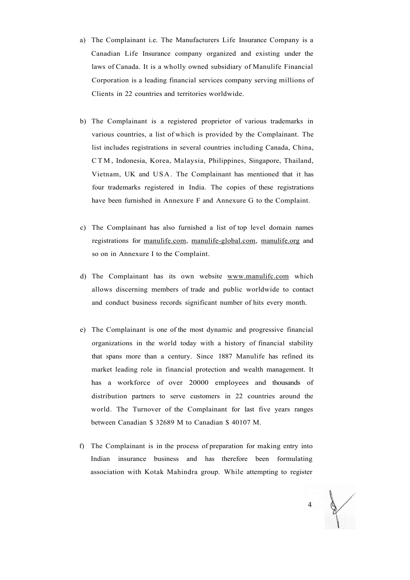- a) The Complainant i.e. The Manufacturers Life Insurance Company is a Canadian Life Insurance company organized and existing under the laws of Canada. It is a wholly owned subsidiary of Manulife Financial Corporation is a leading financial services company serving millions of Clients in 22 countries and territories worldwide.
- b) The Complainant is a registered proprietor of various trademarks in various countries, a list of which is provided by the Complainant. The list includes registrations in several countries including Canada, China, CTM , Indonesia, Korea, Malaysia, Philippines, Singapore, Thailand, Vietnam, UK and USA. The Complainant has mentioned that it has four trademarks registered in India. The copies of these registrations have been furnished in Annexure F and Annexure G to the Complaint.
- c) The Complainant has also furnished a list of top level domain names registrations for [manulife.com,](http://manulife.com) [manulife-global.com,](http://manulife-global.com) [manulife.org](http://manulife.org) and so on in Annexure I to the Complaint.
- d) The Complainant has its own website [www.manulifc.com](http://www.manulifc.com) which allows discerning members of trade and public worldwide to contact and conduct business records significant number of hits every month.
- e) The Complainant is one of the most dynamic and progressive financial organizations in the world today with a history of financial stability that spans more than a century. Since 1887 Manulife has refined its market leading role in financial protection and wealth management. It has a workforce of over 20000 employees and thousands of distribution partners to serve customers in 22 countries around the world. The Turnover of the Complainant for last five years ranges between Canadian \$ 32689 M to Canadian \$ 40107 M.
- f) The Complainant is in the process of preparation for making entry into Indian insurance business and has therefore been formulating association with Kotak Mahindra group. While attempting to register

 $\overline{4}$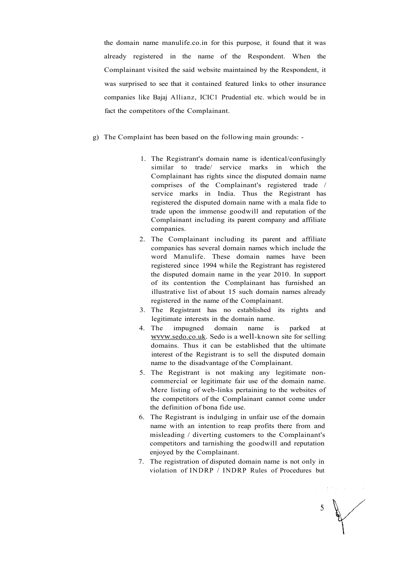the domain name manulife.co.in for this purpose, it found that it was already registered in the name of the Respondent. When the Complainant visited the said website maintained by the Respondent, it was surprised to see that it contained featured links to other insurance companies like Bajaj Allianz, ICIC1 Prudential etc. which would be in fact the competitors of the Complainant.

- g) The Complaint has been based on the following main grounds:
	- 1. The Registrant's domain name is identical/confusingly similar to trade/ service marks in which the Complainant has rights since the disputed domain name comprises of the Complainant's registered trade / service marks in India. Thus the Registrant has registered the disputed domain name with a mala fide to trade upon the immense goodwill and reputation of the Complainant including its parent company and affiliate companies.
	- 2. The Complainant including its parent and affiliate companies has several domain names which include the word Manulife. These domain names have been registered since 1994 while the Registrant has registered the disputed domain name in the year 2010. In support of its contention the Complainant has furnished an illustrative list of about 15 such domain names already registered in the name of the Complainant.
	- 3. The Registrant has no established its rights and legitimate interests in the domain name.
	- 4. The impugned domain name is parked at wvvw[.sedo.co.uk.](http://wvvw.sedo.co.uk) Sedo is a well-known site for selling domains. Thus it can be established that the ultimate interest of the Registrant is to sell the disputed domain name to the disadvantage of the Complainant.
	- 5. The Registrant is not making any legitimate noncommercial or legitimate fair use of the domain name. Mere listing of web-links pertaining to the websites of the competitors of the Complainant cannot come under the definition of bona fide use.
	- 6. The Registrant is indulging in unfair use of the domain name with an intention to reap profits there from and misleading / diverting customers to the Complainant's competitors and tarnishing the goodwill and reputation enjoyed by the Complainant.
	- 7. The registration of disputed domain name is not only in violation of INDRP / INDRP Rules of Procedures but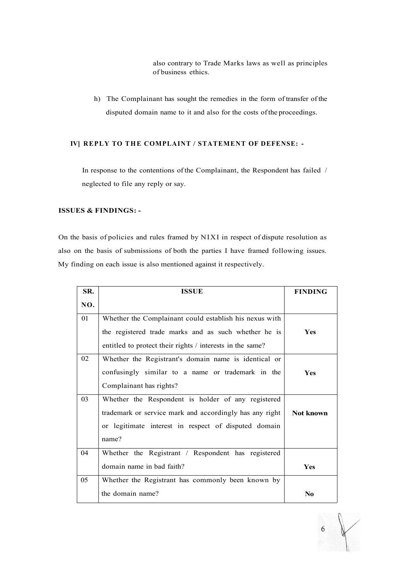also contrary to Trade Marks laws as well as principles of business ethics.

h) The Complainant has sought the remedies in the form of transfer of the disputed domain name to it and also for the costs of the proceedings.

#### **IV] REPLY TO THE COMPLAINT / STATEMENT OF DEFENSE: -**

In response to the contentions of the Complainant, the Respondent has failed / neglected to file any reply or say.

#### **ISSUES & FINDINGS: -**

On the basis of policies and rules framed by NIXI in respect of dispute resolution as also on the basis of submissions of both the parties I have framed following issues. My finding on each issue is also mentioned against it respectively.

| SR. | <b>ISSUE</b>                                              | <b>FINDING</b> |
|-----|-----------------------------------------------------------|----------------|
| NO. |                                                           |                |
| 01  | Whether the Complainant could establish his nexus with    |                |
|     | the registered trade marks and as such whether he is      | <b>Yes</b>     |
|     | entitled to protect their rights / interests in the same? |                |
| 02  | Whether the Registrant's domain name is identical or      |                |
|     | confusingly similar to a name or trademark in the         | <b>Yes</b>     |
|     | Complainant has rights?                                   |                |
| 03  | Whether the Respondent is holder of any registered        |                |
|     | trademark or service mark and accordingly has any right   | Not known      |
|     | or legitimate interest in respect of disputed domain      |                |
|     | name?                                                     |                |
| 04  | Whether the Registrant / Respondent has registered        |                |
|     | domain name in bad faith?                                 | <b>Yes</b>     |
| 05  | Whether the Registrant has commonly been known by         |                |
|     | the domain name?                                          | N <sub>0</sub> |

 $6\overline{6}$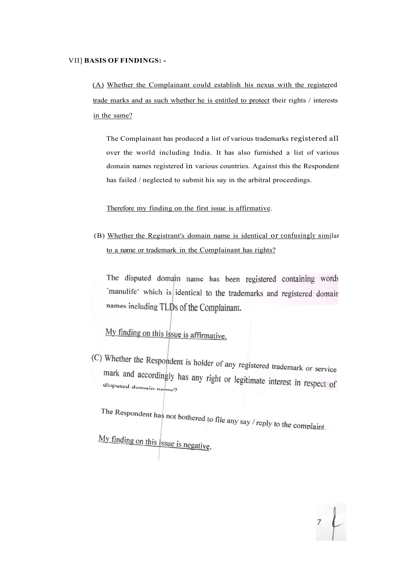#### VII] **BASIS OF FINDINGS: -**

(A) Whether the Complainant could establish his nexus with the registered trade marks and as such whether he is entitled to protect their rights / interests in the same?

The Complainant has produced a list of various trademarks registered all over the world including India. It has also furnished a list of various domain names registered in various countries. Against this the Respondent has failed / neglected to submit his say in the arbitral proceedings.

Therefore my finding on the first issue is affirmative.

(B) Whether the Registrant's domain name is identical or confusingly similar to a name or trademark in the Complainant has rights?

The disputed domain name has been registered containing words `manulife' which is identical to the trademarks and registered domain names including TLDs of the Complainant.

My finding on this issue is affirmative.

(C) Whether the Respondent is holder of any registered trademark or service mark and accordingly has any right or legitimate interest in respect of disputed domain name?

The Respondent has not bothered to file any say  $/$  reply to the complaint.

My finding on this *issue is negative*.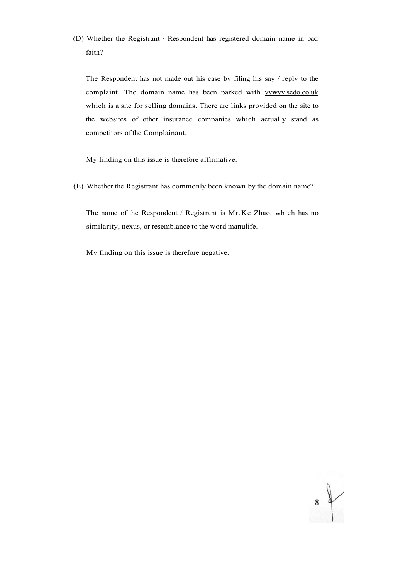(D) Whether the Registrant / Respondent has registered domain name in bad faith?

The Respondent has not made out his case by filing his say / reply to the complaint. The domain name has been parked with vvwvv.sedo.co.uk which is a site for selling domains. There are links provided on the site to the websites of other insurance companies which actually stand as competitors of the Complainant.

#### My finding on this issue is therefore affirmative.

(E) Whether the Registrant has commonly been known by the domain name?

The name of the Respondent / Registrant is Mr.Ke Zhao, which has no similarity, nexus, or resemblance to the word manulife.

My finding on this issue is therefore negative.

 $\frac{1}{8}$